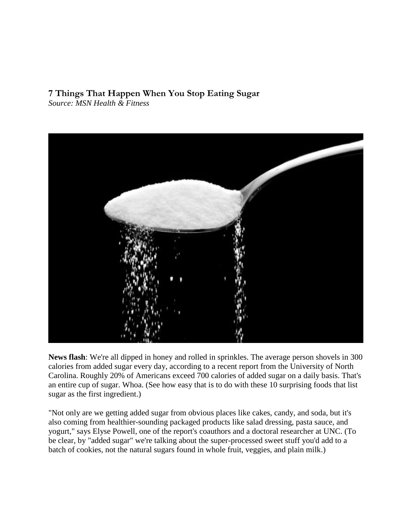# **7 Things That Happen When You Stop Eating Sugar**

*Source: MSN Health & Fitness*



**News flash**: We're all dipped in honey and rolled in sprinkles. The average person shovels in 300 calories from added sugar every day, according to [a recent report](http://www.obesity.org/news-center/us-adult-consumption-of-added-sugars-increased-by-more-than-30-over-three-decades.htm) from the University of North Carolina. Roughly 20% of Americans exceed 700 calories of added sugar on a daily basis. That's an entire cup of sugar. Whoa. (See how easy that is to do with these 10 surprising [foods that list](http://www.prevention.com/food/10-foods-high-sugar-content)  [sugar as the first ingredient.](http://www.prevention.com/food/10-foods-high-sugar-content))

"Not only are we getting added sugar from obvious places like cakes, candy, and soda, but it's also coming from healthier-sounding packaged products like salad dressing, pasta sauce, and yogurt," says Elyse Powell, one of the report's coauthors and a doctoral researcher at UNC. (To be clear, by "added sugar" we're talking about the super-processed sweet stuff you'd add to a batch of cookies, not the natural sugars found in whole fruit, veggies, and plain milk.)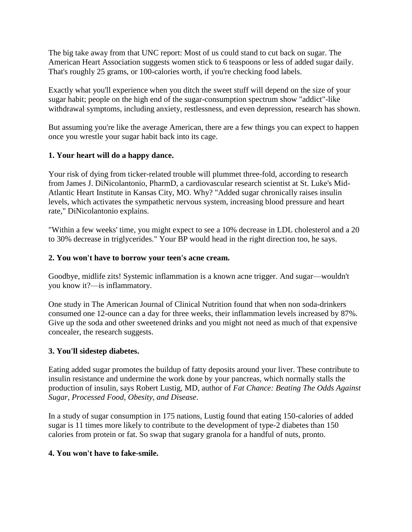The big take away from that UNC report: Most of us could stand to cut back on sugar. The American Heart Association [suggests](http://www.heart.org/HEARTORG/GettingHealthy/NutritionCenter/HealthyEating/Added-Sugars_UCM_305858_Article.jsp) women stick to 6 teaspoons or less of added sugar daily. That's roughly 25 grams, or 100-calories worth, if you're checking food labels.

Exactly what you'll experience when you ditch the sweet stuff will depend on the size of your sugar habit; people on the high end of the sugar-consumption spectrum show "addict"-like withdrawal symptoms, including anxiety, restlessness, and even depression, [research has shown.](http://www.ncbi.nlm.nih.gov/pmc/articles/PMC2235907/)

But assuming you're like the average American, there are a few things you can expect to happen once you wrestle your sugar habit back into its cage.

## **1. Your heart will do a happy dance.**

Your risk of dying from ticker-related trouble [will plummet three-fold,](http://openheart.bmj.com/content/1/1/e000167.full) according to research from James J. DiNicolantonio, PharmD, a cardiovascular research scientist at St. Luke's Mid-Atlantic Heart Institute in Kansas City, MO. Why? "Added sugar chronically raises insulin levels, which activates the sympathetic nervous system, increasing blood pressure and heart rate," DiNicolantonio explains.

"Within a few weeks' time, you might expect to see a 10% decrease in LDL cholesterol and a 20 to 30% decrease in triglycerides." Your BP would head in the right direction too, he says.

#### **2. You won't have to borrow your teen's acne cream.**

Goodbye, midlife zits! Systemic inflammation is a known acne trigger. And sugar—wouldn't you know it?—is inflammatory.

One [study](http://ajcn.nutrition.org/content/early/2011/06/15/ajcn.111.013540.abstract) in The American Journal of Clinical Nutrition found that when non soda-drinkers consumed one 12-ounce can a day for three weeks, their inflammation levels increased by 87%. Give up the soda and other sweetened drinks and you might not need as much of that expensive concealer, the research suggests.

#### **3. You'll sidestep diabetes.**

Eating added sugar promotes the buildup of fatty deposits around your liver. These contribute to insulin resistance and undermine the work done by your pancreas, which normally stalls the production of insulin, says Robert Lustig, MD, author of *Fat Chance: Beating The Odds Against Sugar, Processed Food, Obesity, and Disease*.

In a [study](http://journals.plos.org/plosone/article?id=10.1371/journal.pone.0057873) of sugar consumption in 175 nations, Lustig found that eating 150-calories of added sugar is 11 times more likely to contribute to the development of type-2 diabetes than 150 calories from protein or fat. So swap that sugary granola for a handful of nuts, pronto.

#### **4. You won't have to fake-smile.**